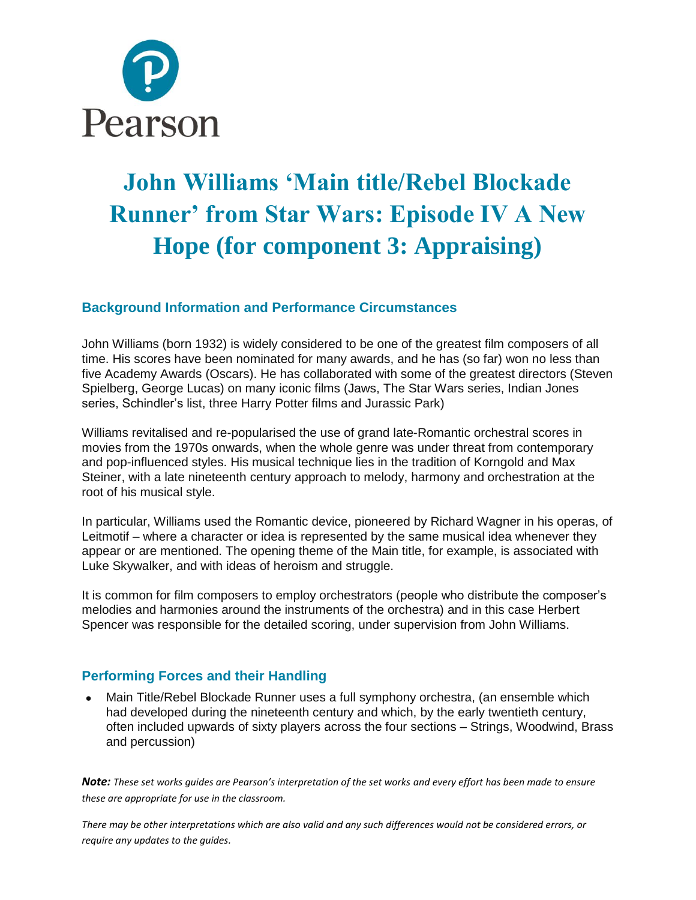

# **John Williams 'Main title/Rebel Blockade Runner' from Star Wars: Episode IV A New Hope (for component 3: Appraising)**

## **Background Information and Performance Circumstances**

John Williams (born 1932) is widely considered to be one of the greatest film composers of all time. His scores have been nominated for many awards, and he has (so far) won no less than five Academy Awards (Oscars). He has collaborated with some of the greatest directors (Steven Spielberg, George Lucas) on many iconic films (Jaws, The Star Wars series, Indian Jones series, Schindler's list, three Harry Potter films and Jurassic Park)

Williams revitalised and re-popularised the use of grand late-Romantic orchestral scores in movies from the 1970s onwards, when the whole genre was under threat from contemporary and pop-influenced styles. His musical technique lies in the tradition of Korngold and Max Steiner, with a late nineteenth century approach to melody, harmony and orchestration at the root of his musical style.

In particular, Williams used the Romantic device, pioneered by Richard Wagner in his operas, of Leitmotif – where a character or idea is represented by the same musical idea whenever they appear or are mentioned. The opening theme of the Main title, for example, is associated with Luke Skywalker, and with ideas of heroism and struggle.

It is common for film composers to employ orchestrators (people who distribute the composer's melodies and harmonies around the instruments of the orchestra) and in this case Herbert Spencer was responsible for the detailed scoring, under supervision from John Williams.

## **Performing Forces and their Handling**

 Main Title/Rebel Blockade Runner uses a full symphony orchestra, (an ensemble which had developed during the nineteenth century and which, by the early twentieth century, often included upwards of sixty players across the four sections – Strings, Woodwind, Brass and percussion)

*Note: These set works guides are Pearson's interpretation of the set works and every effort has been made to ensure these are appropriate for use in the classroom.*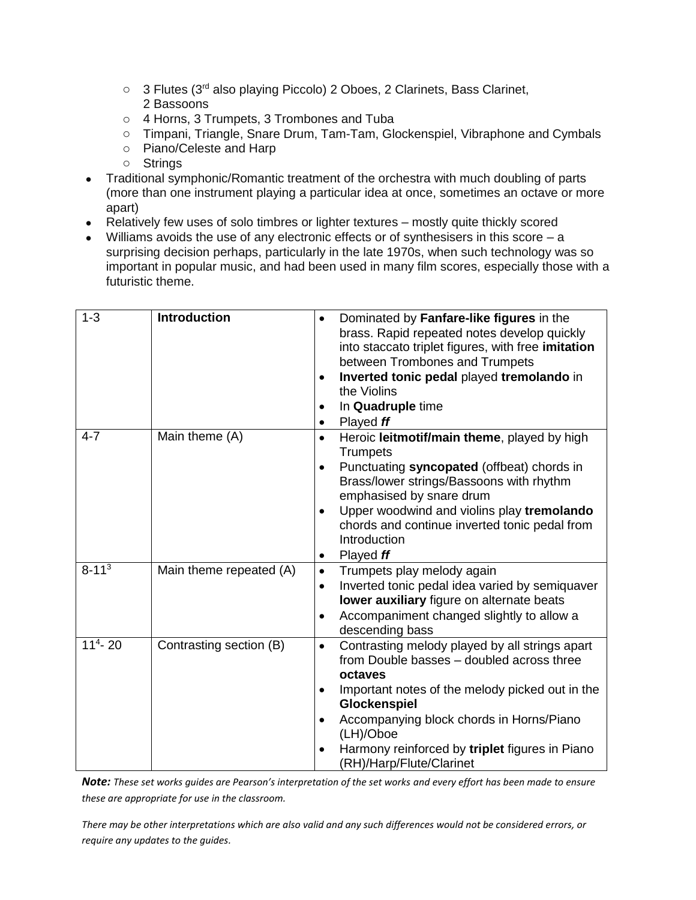- o 3 Flutes (3<sup>rd</sup> also playing Piccolo) 2 Oboes, 2 Clarinets, Bass Clarinet, 2 Bassoons
- o 4 Horns, 3 Trumpets, 3 Trombones and Tuba
- o Timpani, Triangle, Snare Drum, Tam-Tam, Glockenspiel, Vibraphone and Cymbals
- o Piano/Celeste and Harp
- o Strings
- Traditional symphonic/Romantic treatment of the orchestra with much doubling of parts (more than one instrument playing a particular idea at once, sometimes an octave or more apart)
- Relatively few uses of solo timbres or lighter textures mostly quite thickly scored
- Williams avoids the use of any electronic effects or of synthesisers in this score a surprising decision perhaps, particularly in the late 1970s, when such technology was so important in popular music, and had been used in many film scores, especially those with a futuristic theme.

| $1 - 3$    | <b>Introduction</b>     | Dominated by Fanfare-like figures in the<br>$\bullet$<br>brass. Rapid repeated notes develop quickly<br>into staccato triplet figures, with free imitation<br>between Trombones and Trumpets<br>Inverted tonic pedal played tremolando in<br>the Violins<br>In Quadruple time<br>Played ff<br>$\bullet$                       |
|------------|-------------------------|-------------------------------------------------------------------------------------------------------------------------------------------------------------------------------------------------------------------------------------------------------------------------------------------------------------------------------|
| $4 - 7$    | Main theme (A)          | Heroic leitmotif/main theme, played by high<br>$\bullet$<br><b>Trumpets</b><br>Punctuating syncopated (offbeat) chords in<br>Brass/lower strings/Bassoons with rhythm<br>emphasised by snare drum<br>Upper woodwind and violins play tremolando<br>chords and continue inverted tonic pedal from<br>Introduction<br>Played ff |
| $8 - 113$  | Main theme repeated (A) | Trumpets play melody again<br>$\bullet$<br>Inverted tonic pedal idea varied by semiquaver<br>$\bullet$<br>lower auxiliary figure on alternate beats<br>Accompaniment changed slightly to allow a<br>descending bass                                                                                                           |
| $114 - 20$ | Contrasting section (B) | Contrasting melody played by all strings apart<br>$\bullet$<br>from Double basses - doubled across three<br>octaves<br>Important notes of the melody picked out in the<br>Glockenspiel<br>Accompanying block chords in Horns/Piano<br>(LH)/Oboe<br>Harmony reinforced by triplet figures in Piano<br>(RH)/Harp/Flute/Clarinet |

*Note: These set works guides are Pearson's interpretation of the set works and every effort has been made to ensure these are appropriate for use in the classroom.*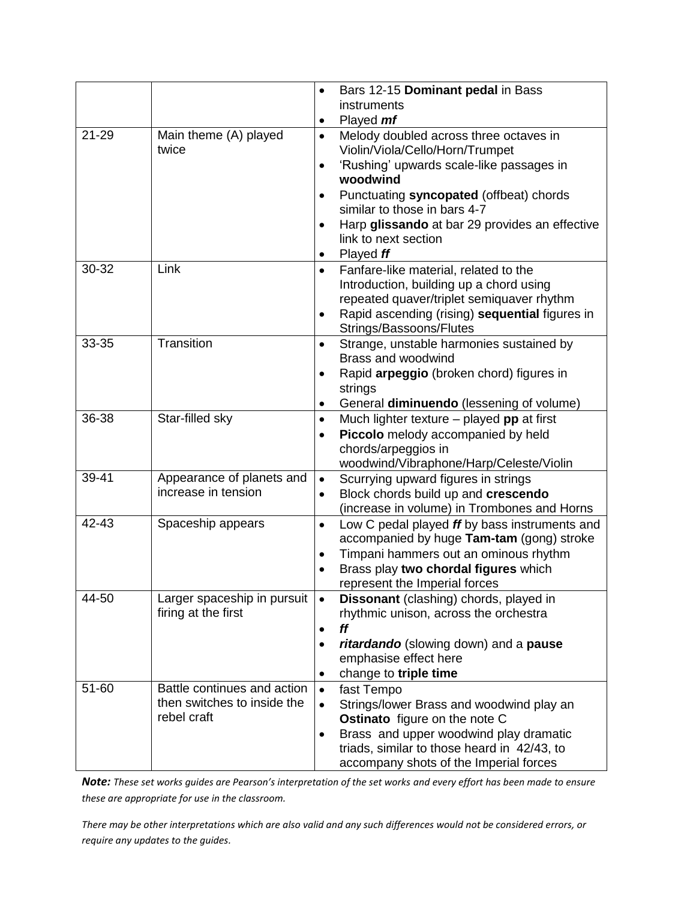|           |                             | Bars 12-15 Dominant pedal in Bass<br>$\bullet$<br>instruments         |
|-----------|-----------------------------|-----------------------------------------------------------------------|
|           |                             | Played <i>mf</i>                                                      |
| $21 - 29$ | Main theme (A) played       | Melody doubled across three octaves in<br>$\bullet$                   |
|           | twice                       | Violin/Viola/Cello/Horn/Trumpet                                       |
|           |                             | 'Rushing' upwards scale-like passages in<br>$\bullet$                 |
|           |                             | woodwind                                                              |
|           |                             | Punctuating syncopated (offbeat) chords                               |
|           |                             | similar to those in bars 4-7                                          |
|           |                             | Harp glissando at bar 29 provides an effective<br>$\bullet$           |
|           |                             | link to next section                                                  |
|           |                             | Played ff<br>$\bullet$                                                |
| 30-32     | Link                        | Fanfare-like material, related to the<br>$\bullet$                    |
|           |                             | Introduction, building up a chord using                               |
|           |                             | repeated quaver/triplet semiquaver rhythm                             |
|           |                             | Rapid ascending (rising) sequential figures in<br>$\bullet$           |
|           |                             | Strings/Bassoons/Flutes                                               |
| 33-35     | Transition                  | Strange, unstable harmonies sustained by<br>$\bullet$                 |
|           |                             | Brass and woodwind                                                    |
|           |                             | Rapid arpeggio (broken chord) figures in<br>$\bullet$                 |
|           |                             | strings<br>General diminuendo (lessening of volume)                   |
| 36-38     | Star-filled sky             | $\bullet$<br>Much lighter texture $-$ played pp at first<br>$\bullet$ |
|           |                             | Piccolo melody accompanied by held<br>$\bullet$                       |
|           |                             | chords/arpeggios in                                                   |
|           |                             | woodwind/Vibraphone/Harp/Celeste/Violin                               |
| 39-41     | Appearance of planets and   | Scurrying upward figures in strings<br>$\bullet$                      |
|           | increase in tension         | Block chords build up and crescendo<br>$\bullet$                      |
|           |                             | (increase in volume) in Trombones and Horns                           |
| 42-43     | Spaceship appears           | Low C pedal played ff by bass instruments and<br>$\bullet$            |
|           |                             | accompanied by huge Tam-tam (gong) stroke                             |
|           |                             | Timpani hammers out an ominous rhythm<br>$\bullet$                    |
|           |                             | Brass play two chordal figures which<br>$\bullet$                     |
|           |                             | represent the Imperial forces                                         |
| 44-50     | Larger spaceship in pursuit | <b>Dissonant</b> (clashing) chords, played in<br>$\bullet$            |
|           | firing at the first         | rhythmic unison, across the orchestra                                 |
|           |                             | ff<br>$\bullet$                                                       |
|           |                             | ritardando (slowing down) and a pause<br>$\bullet$                    |
|           |                             | emphasise effect here                                                 |
|           |                             | change to triple time<br>$\bullet$                                    |
| 51-60     | Battle continues and action | fast Tempo<br>$\bullet$                                               |
|           | then switches to inside the | Strings/lower Brass and woodwind play an                              |
|           | rebel craft                 | <b>Ostinato</b> figure on the note C                                  |
|           |                             | Brass and upper woodwind play dramatic<br>$\bullet$                   |
|           |                             | triads, similar to those heard in 42/43, to                           |
|           |                             | accompany shots of the Imperial forces                                |

*Note: These set works guides are Pearson's interpretation of the set works and every effort has been made to ensure these are appropriate for use in the classroom.*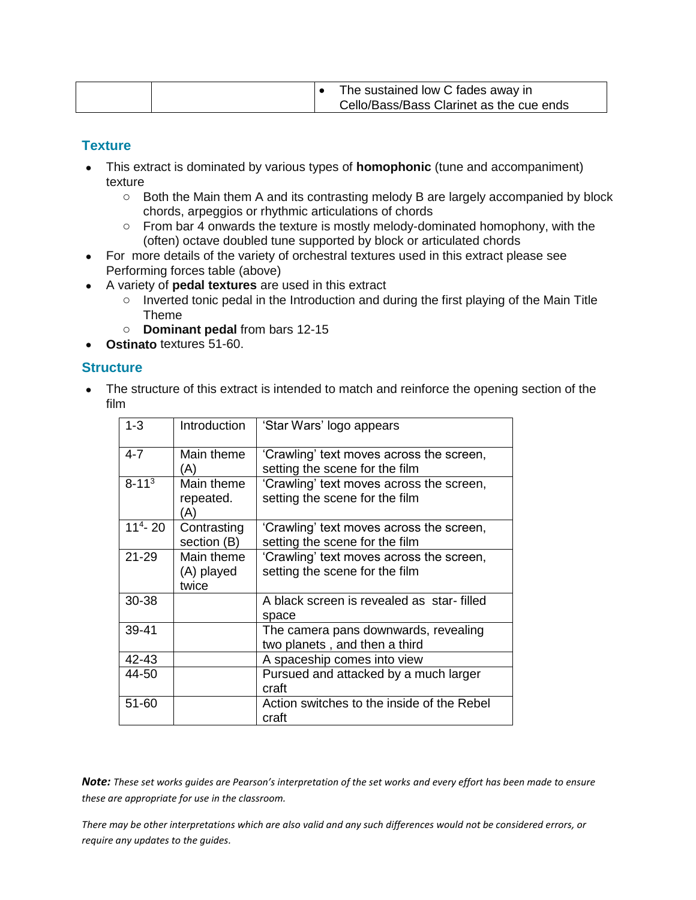|  | The sustained low C fades away in        |
|--|------------------------------------------|
|  | Cello/Bass/Bass Clarinet as the cue ends |

#### **Texture**

- This extract is dominated by various types of **homophonic** (tune and accompaniment) texture
	- $\circ$  Both the Main them A and its contrasting melody B are largely accompanied by block chords, arpeggios or rhythmic articulations of chords
	- $\circ$  From bar 4 onwards the texture is mostly melody-dominated homophony, with the (often) octave doubled tune supported by block or articulated chords
- For more details of the variety of orchestral textures used in this extract please see Performing forces table (above)
- A variety of **pedal textures** are used in this extract
	- o Inverted tonic pedal in the Introduction and during the first playing of the Main Title Theme
	- o **Dominant pedal** from bars 12-15
- **Ostinato** textures 51-60.

#### **Structure**

• The structure of this extract is intended to match and reinforce the opening section of the film

| $1 - 3$    | Introduction                      | 'Star Wars' logo appears                                                   |
|------------|-----------------------------------|----------------------------------------------------------------------------|
| $4 - 7$    | Main theme<br>(A)                 | 'Crawling' text moves across the screen,<br>setting the scene for the film |
| $8 - 113$  | Main theme<br>repeated.<br>'A)    | 'Crawling' text moves across the screen,<br>setting the scene for the film |
| $114 - 20$ | Contrasting<br>section (B)        | 'Crawling' text moves across the screen,<br>setting the scene for the film |
| $21 - 29$  | Main theme<br>(A) played<br>twice | 'Crawling' text moves across the screen,<br>setting the scene for the film |
| 30-38      |                                   | A black screen is revealed as star-filled<br>space                         |
| 39-41      |                                   | The camera pans downwards, revealing<br>two planets, and then a third      |
| 42-43      |                                   | A spaceship comes into view                                                |
| 44-50      |                                   | Pursued and attacked by a much larger<br>craft                             |
| 51-60      |                                   | Action switches to the inside of the Rebel<br>craft                        |

*Note: These set works guides are Pearson's interpretation of the set works and every effort has been made to ensure these are appropriate for use in the classroom.*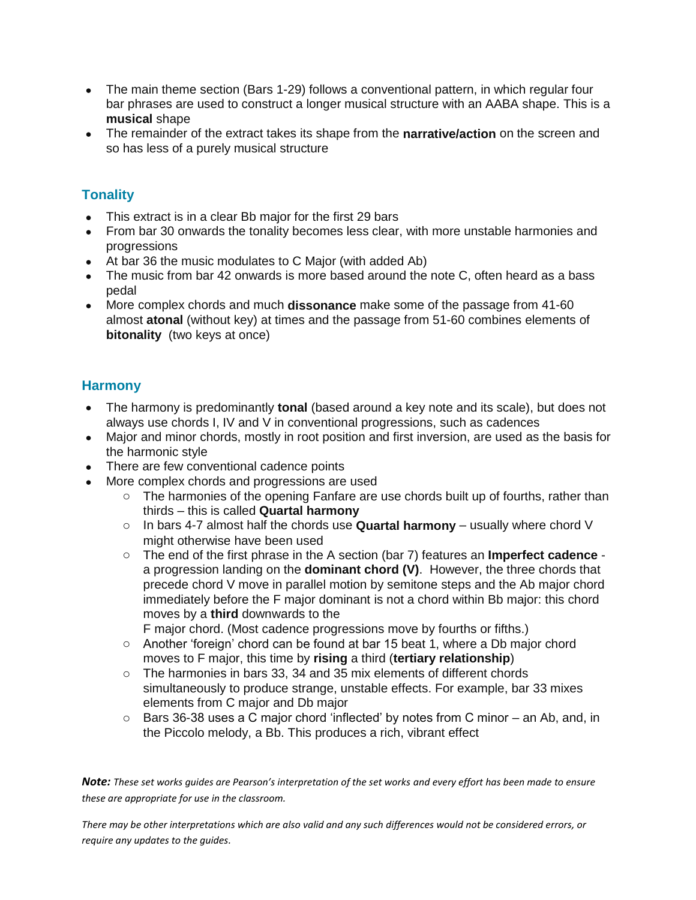- The main theme section (Bars 1-29) follows a conventional pattern, in which regular four bar phrases are used to construct a longer musical structure with an AABA shape. This is a **musical** shape
- The remainder of the extract takes its shape from the **narrative/action** on the screen and so has less of a purely musical structure

# **Tonality**

- This extract is in a clear Bb major for the first 29 bars
- From bar 30 onwards the tonality becomes less clear, with more unstable harmonies and progressions
- At bar 36 the music modulates to C Major (with added Ab)
- The music from bar 42 onwards is more based around the note C, often heard as a bass pedal
- More complex chords and much **dissonance** make some of the passage from 41-60 almost **atonal** (without key) at times and the passage from 51-60 combines elements of **bitonality** (two keys at once)

# **Harmony**

- The harmony is predominantly **tonal** (based around a key note and its scale), but does not always use chords I, IV and V in conventional progressions, such as cadences
- Major and minor chords, mostly in root position and first inversion, are used as the basis for the harmonic style
- There are few conventional cadence points
- More complex chords and progressions are used
	- $\circ$  The harmonies of the opening Fanfare are use chords built up of fourths, rather than thirds – this is called **Quartal harmony**
	- o In bars 4-7 almost half the chords use **Quartal harmony** usually where chord V might otherwise have been used
	- o The end of the first phrase in the A section (bar 7) features an **Imperfect cadence** a progression landing on the **dominant chord (V)**. However, the three chords that precede chord V move in parallel motion by semitone steps and the Ab major chord immediately before the F major dominant is not a chord within Bb major: this chord moves by a **third** downwards to the

F major chord. (Most cadence progressions move by fourths or fifths.)

- o Another 'foreign' chord can be found at bar 15 beat 1, where a Db major chord moves to F major, this time by **rising** a third (**tertiary relationship**)
- o The harmonies in bars 33, 34 and 35 mix elements of different chords simultaneously to produce strange, unstable effects. For example, bar 33 mixes elements from C major and Db major
- $\circ$  Bars 36-38 uses a C major chord 'inflected' by notes from C minor an Ab, and, in the Piccolo melody, a Bb. This produces a rich, vibrant effect

*Note: These set works guides are Pearson's interpretation of the set works and every effort has been made to ensure these are appropriate for use in the classroom.*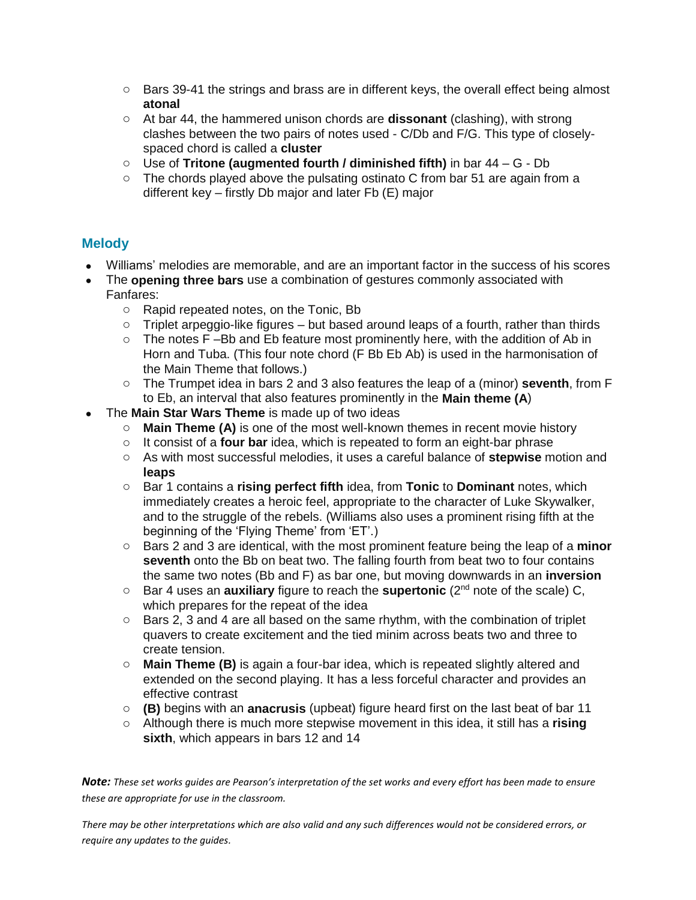- $\circ$  Bars 39-41 the strings and brass are in different keys, the overall effect being almost **atonal**
- o At bar 44, the hammered unison chords are **dissonant** (clashing), with strong clashes between the two pairs of notes used - C/Db and F/G. This type of closelyspaced chord is called a **cluster**
- o Use of **Tritone (augmented fourth / diminished fifth)** in bar 44 G Db
- $\circ$  The chords played above the pulsating ostinato C from bar 51 are again from a different key – firstly Db major and later Fb (E) major

#### **Melody**

- Williams' melodies are memorable, and are an important factor in the success of his scores
- The **opening three bars** use a combination of gestures commonly associated with Fanfares:
	- o Rapid repeated notes, on the Tonic, Bb
	- $\circ$  Triplet arpeggio-like figures but based around leaps of a fourth, rather than thirds
	- $\circ$  The notes F-Bb and Eb feature most prominently here, with the addition of Ab in Horn and Tuba. (This four note chord (F Bb Eb Ab) is used in the harmonisation of the Main Theme that follows.)
	- o The Trumpet idea in bars 2 and 3 also features the leap of a (minor) **seventh**, from F to Eb, an interval that also features prominently in the **Main theme (A**)
- The **Main Star Wars Theme** is made up of two ideas
	- o **Main Theme (A)** is one of the most well-known themes in recent movie history
	- o It consist of a **four bar** idea, which is repeated to form an eight-bar phrase
	- o As with most successful melodies, it uses a careful balance of **stepwise** motion and **leaps**
	- o Bar 1 contains a **rising perfect fifth** idea, from **Tonic** to **Dominant** notes, which immediately creates a heroic feel, appropriate to the character of Luke Skywalker, and to the struggle of the rebels. (Williams also uses a prominent rising fifth at the beginning of the 'Flying Theme' from 'ET'.)
	- o Bars 2 and 3 are identical, with the most prominent feature being the leap of a **minor seventh** onto the Bb on beat two. The falling fourth from beat two to four contains the same two notes (Bb and F) as bar one, but moving downwards in an **inversion**
	- o Bar 4 uses an **auxiliary** figure to reach the **supertonic** (2nd note of the scale) C, which prepares for the repeat of the idea
	- $\circ$  Bars 2, 3 and 4 are all based on the same rhythm, with the combination of triplet quavers to create excitement and the tied minim across beats two and three to create tension.
	- o **Main Theme (B)** is again a four-bar idea, which is repeated slightly altered and extended on the second playing. It has a less forceful character and provides an effective contrast
	- o **(B)** begins with an **anacrusis** (upbeat) figure heard first on the last beat of bar 11
	- o Although there is much more stepwise movement in this idea, it still has a **rising sixth**, which appears in bars 12 and 14

*Note: These set works guides are Pearson's interpretation of the set works and every effort has been made to ensure these are appropriate for use in the classroom.*